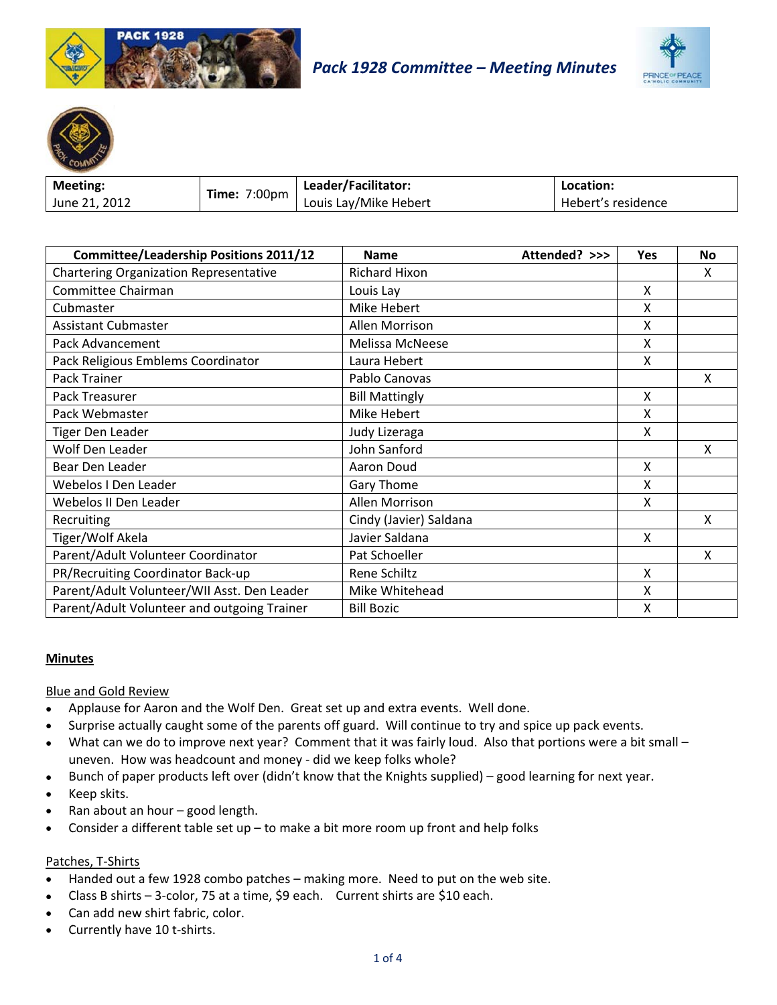





| <b>Meeting:</b> | <b>Time: 7:00pm</b> | Leader/Facilitator:   | Location:          |
|-----------------|---------------------|-----------------------|--------------------|
| June 21, 2012   |                     | Louis Lay/Mike Hebert | Hebert's residence |

| <b>Committee/Leadership Positions 2011/12</b> | <b>Name</b>            | Attended? >>> | Yes | <b>No</b> |
|-----------------------------------------------|------------------------|---------------|-----|-----------|
| <b>Chartering Organization Representative</b> | Richard Hixon          |               |     | x         |
| Committee Chairman                            | Louis Lay              |               | X   |           |
| Cubmaster                                     | Mike Hebert            |               | X   |           |
| <b>Assistant Cubmaster</b>                    | Allen Morrison         |               | X   |           |
| Pack Advancement                              | Melissa McNeese        |               | X   |           |
| Pack Religious Emblems Coordinator            | Laura Hebert           |               | X   |           |
| Pack Trainer                                  | Pablo Canovas          |               |     | X         |
| Pack Treasurer                                | <b>Bill Mattingly</b>  |               | X   |           |
| Pack Webmaster                                | Mike Hebert            |               | X   |           |
| <b>Tiger Den Leader</b>                       | Judy Lizeraga          |               | X   |           |
| Wolf Den Leader                               | John Sanford           |               |     | X         |
| Bear Den Leader                               | Aaron Doud             |               | X   |           |
| Webelos I Den Leader                          | Gary Thome             |               | X   |           |
| Webelos II Den Leader                         | Allen Morrison         |               | X   |           |
| Recruiting                                    | Cindy (Javier) Saldana |               |     | X         |
| Tiger/Wolf Akela                              | Javier Saldana         |               | X   |           |
| Parent/Adult Volunteer Coordinator            | Pat Schoeller          |               |     | X         |
| PR/Recruiting Coordinator Back-up             | Rene Schiltz           |               | X   |           |
| Parent/Adult Volunteer/WII Asst. Den Leader   | Mike Whitehead         |               | X   |           |
| Parent/Adult Volunteer and outgoing Trainer   | <b>Bill Bozic</b>      |               | Χ   |           |

# **Minutes**

# **Blue and Gold Review**

- Applause for Aaron and the Wolf Den. Great set up and extra events. Well done.  $\bullet$
- Surprise actually caught some of the parents off guard. Will continue to try and spice up pack events.
- What can we do to improve next year? Comment that it was fairly loud. Also that portions were a bit small - $\bullet$ uneven. How was headcount and money - did we keep folks whole?
- Bunch of paper products left over (didn't know that the Knights supplied) good learning for next year.
- Keep skits.
- Ran about an hour good length.
- Consider a different table set  $up$  to make a bit more room up front and help folks

## Patches, T-Shirts

- Handed out a few 1928 combo patches making more. Need to put on the web site.  $\bullet$
- Class B shirts 3-color, 75 at a time, \$9 each. Current shirts are \$10 each.
- Can add new shirt fabric, color.
- Currently have 10 t-shirts.  $\bullet$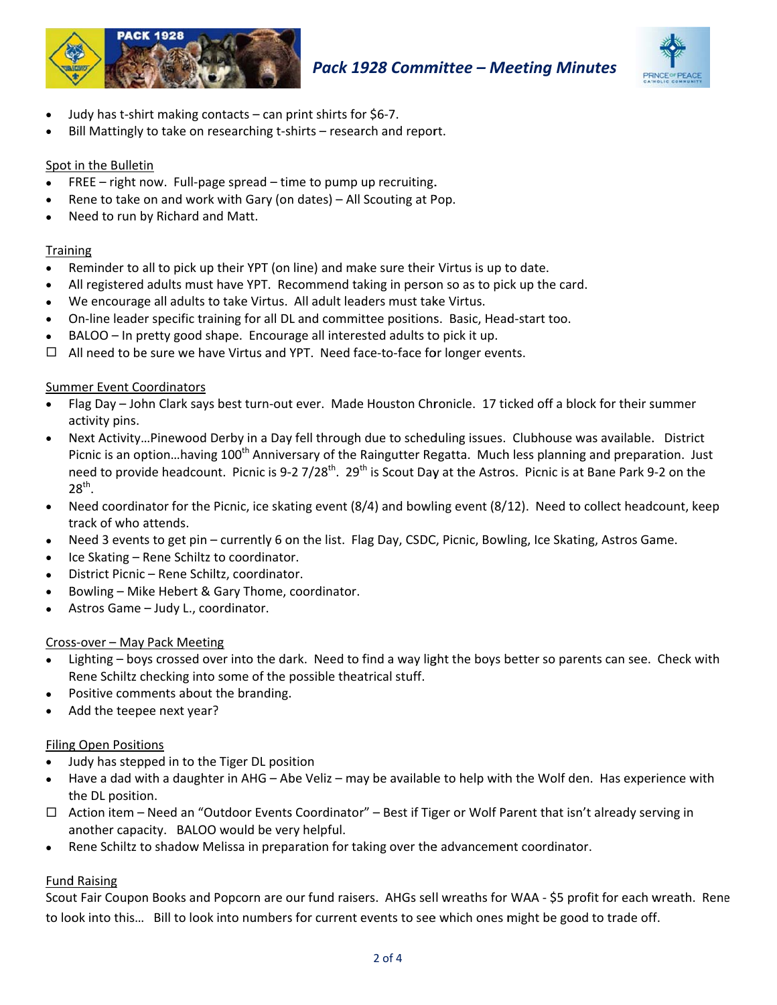



- Judy has t-shirt making contacts can print shirts for \$6-7.
- Bill Mattingly to take on researching t-shirts research and report.

# Spot in the Bulletin

- FREE right now. Full-page spread time to pump up recruiting.
- Rene to take on and work with Gary (on dates) All Scouting at Pop.
- Need to run by Richard and Matt.

### Training

- Reminder to all to pick up their YPT (on line) and make sure their Virtus is up to date.
- All registered adults must have YPT. Recommend taking in person so as to pick up the card.
- We encourage all adults to take Virtus. All adult leaders must take Virtus.
- On-line leader specific training for all DL and committee positions. Basic, Head-start too.
- BALOO In pretty good shape. Encourage all interested adults to pick it up.
- $\Box$  All need to be sure we have Virtus and YPT. Need face-to-face for longer events.

### **Summer Event Coordinators**

- Flag Day John Clark says best turn-out ever. Made Houston Chronicle. 17 ticked off a block for their summer activity pins.
- Next Activity...Pinewood Derby in a Day fell through due to scheduling issues. Clubhouse was available. District Picnic is an option...having 100<sup>th</sup> Anniversary of the Raingutter Regatta. Much less planning and preparation. Just need to provide headcount. Picnic is 9-2 7/28<sup>th</sup>. 29<sup>th</sup> is Scout Day at the Astros. Picnic is at Bane Park 9-2 on the  $28<sup>th</sup>$ .
- Need coordinator for the Picnic, ice skating event  $(8/4)$  and bowling event  $(8/12)$ . Need to collect headcount, keep  $\bullet$ track of who attends.
- Need 3 events to get pin currently 6 on the list. Flag Day, CSDC, Picnic, Bowling, Ice Skating, Astros Game.
- Ice Skating Rene Schiltz to coordinator.
- District Picnic Rene Schiltz, coordinator.
- Bowling Mike Hebert & Gary Thome, coordinator.
- Astros Game Judy L., coordinator.

#### Cross-over - May Pack Meeting

- Lighting boys crossed over into the dark. Need to find a way light the boys better so parents can see. Check with Rene Schiltz checking into some of the possible theatrical stuff.
- Positive comments about the branding.
- Add the teepee next year?

#### **Filing Open Positions**

- Judy has stepped in to the Tiger DL position
- Have a dad with a daughter in AHG Abe Veliz may be available to help with the Wolf den. Has experience with the DL position.
- $\Box$  Action item Need an "Outdoor Events Coordinator" Best if Tiger or Wolf Parent that isn't already serving in another capacity. BALOO would be very helpful.
- Rene Schiltz to shadow Melissa in preparation for taking over the advancement coordinator.

# **Fund Raising**

Scout Fair Coupon Books and Popcorn are our fund raisers. AHGs sell wreaths for WAA - \$5 profit for each wreath. Rene to look into this... Bill to look into numbers for current events to see which ones might be good to trade off.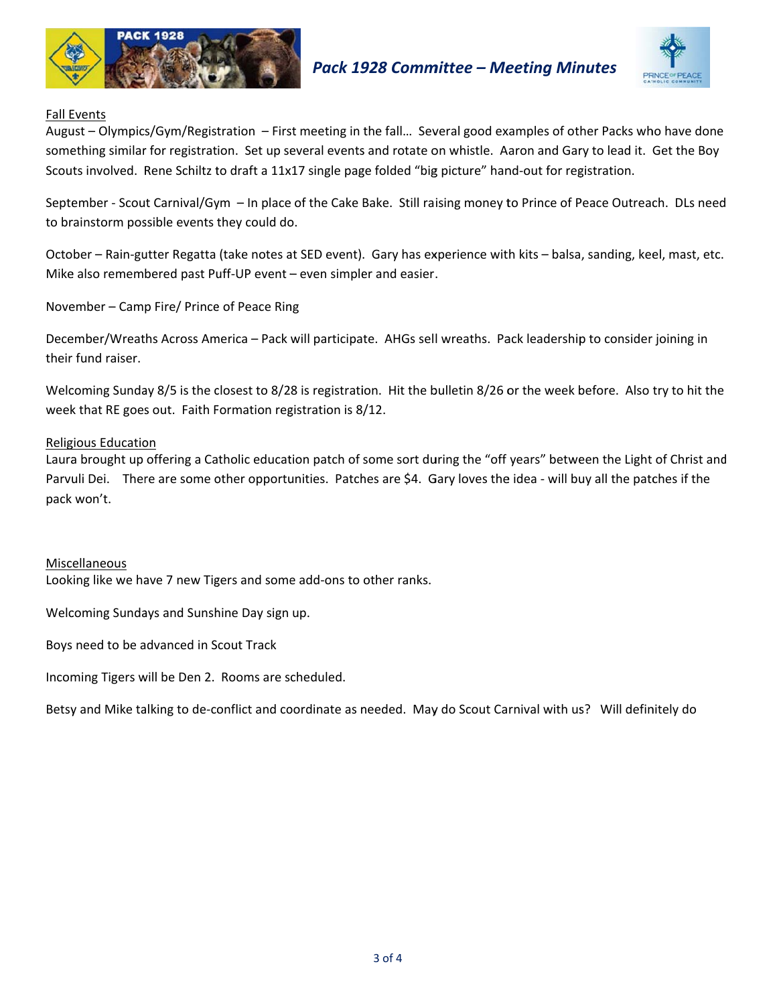



# **Fall Events**

August - Olympics/Gym/Registration - First meeting in the fall... Several good examples of other Packs who have done something similar for registration. Set up several events and rotate on whistle. Aaron and Gary to lead it. Get the Boy Scouts involved. Rene Schiltz to draft a 11x17 single page folded "big picture" hand-out for registration.

September - Scout Carnival/Gym - In place of the Cake Bake. Still raising money to Prince of Peace Outreach. DLs need to brainstorm possible events they could do.

October – Rain-gutter Regatta (take notes at SED event). Gary has experience with kits – balsa, sanding, keel, mast, etc. Mike also remembered past Puff-UP event - even simpler and easier.

November - Camp Fire/ Prince of Peace Ring

December/Wreaths Across America – Pack will participate. AHGs sell wreaths. Pack leadership to consider joining in their fund raiser.

Welcoming Sunday 8/5 is the closest to 8/28 is registration. Hit the bulletin 8/26 or the week before. Also try to hit the week that RE goes out. Faith Formation registration is 8/12.

# **Religious Education**

Laura brought up offering a Catholic education patch of some sort during the "off years" between the Light of Christ and Parvuli Dei. There are some other opportunities. Patches are \$4. Gary loves the idea - will buy all the patches if the pack won't.

# Miscellaneous

Looking like we have 7 new Tigers and some add-ons to other ranks.

Welcoming Sundays and Sunshine Day sign up.

Boys need to be advanced in Scout Track

Incoming Tigers will be Den 2. Rooms are scheduled.

Betsy and Mike talking to de-conflict and coordinate as needed. May do Scout Carnival with us? Will definitely do